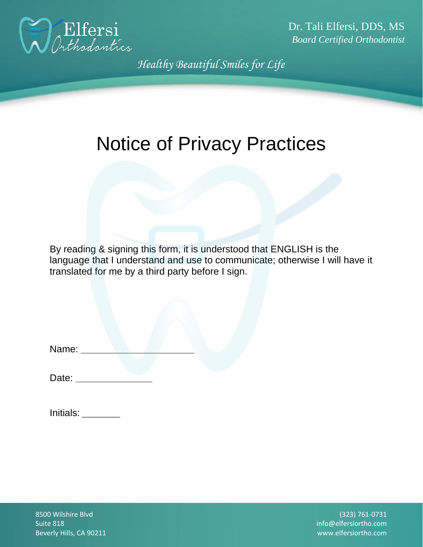

Dr. Tali Elfersi, DDS, MS *Board Certified Orthodontist*

*Healthy Beautiful Smiles for Life*

# Notice of Privacy Practices

By reading & signing this form, it is understood that ENGLISH is the language that I understand and use to communicate; otherwise I will have it translated for me by a third party before I sign.

| Name: |  |  |  |
|-------|--|--|--|
|       |  |  |  |

Date:

| Initials: |  |
|-----------|--|
|-----------|--|

8500 Wilshire Blvd Suite 818 Beverly Hills, CA 90211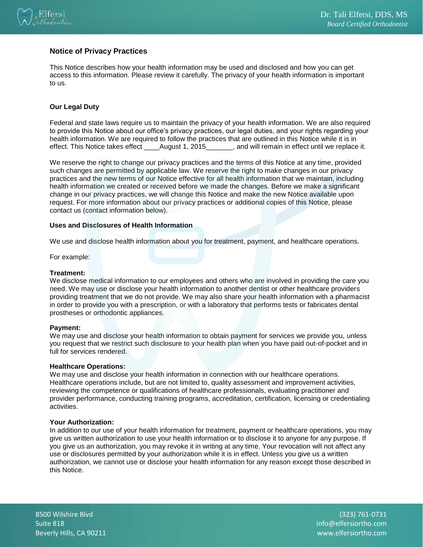

# **Notice of Privacy Practices**

This Notice describes how your health information may be used and disclosed and how you can get access to this information. Please review it carefully. The privacy of your health information is important to us.

# **Our Legal Duty**

Federal and state laws require us to maintain the privacy of your health information. We are also required to provide this Notice about our office's privacy practices, our legal duties, and your rights regarding your health information. We are required to follow the practices that are outlined in this Notice while it is in effect. This Notice takes effect August 1, 2015 , and will remain in effect until we replace it.

We reserve the right to change our privacy practices and the terms of this Notice at any time, provided such changes are permitted by applicable law. We reserve the right to make changes in our privacy practices and the new terms of our Notice effective for all health information that we maintain, including health information we created or received before we made the changes. Before we make a significant change in our privacy practices, we will change this Notice and make the new Notice available upon request. For more information about our privacy practices or additional copies of this Notice, please contact us (contact information below).

# **Uses and Disclosures of Health Information**

We use and disclose health information about you for treatment, payment, and healthcare operations.

For example:

### **Treatment:**

We disclose medical information to our employees and others who are involved in providing the care you need. We may use or disclose your health information to another dentist or other healthcare providers providing treatment that we do not provide. We may also share your health information with a pharmacist in order to provide you with a prescription, or with a laboratory that performs tests or fabricates dental prostheses or orthodontic appliances.

#### **Payment:**

We may use and disclose your health information to obtain payment for services we provide you, unless you request that we restrict such disclosure to your health plan when you have paid out-of-pocket and in full for services rendered.

#### **Healthcare Operations:**

We may use and disclose your health information in connection with our healthcare operations. Healthcare operations include, but are not limited to, quality assessment and improvement activities, reviewing the competence or qualifications of healthcare professionals, evaluating practitioner and provider performance, conducting training programs, accreditation, certification, licensing or credentialing activities.

#### **Your Authorization:**

In addition to our use of your health information for treatment, payment or healthcare operations, you may give us written authorization to use your health information or to disclose it to anyone for any purpose. If you give us an authorization, you may revoke it in writing at any time. Your revocation will not affect any use or disclosures permitted by your authorization while it is in effect. Unless you give us a written authorization, we cannot use or disclose your health information for any reason except those described in this Notice.

8500 Wilshire Blvd Suite 818 Beverly Hills, CA 90211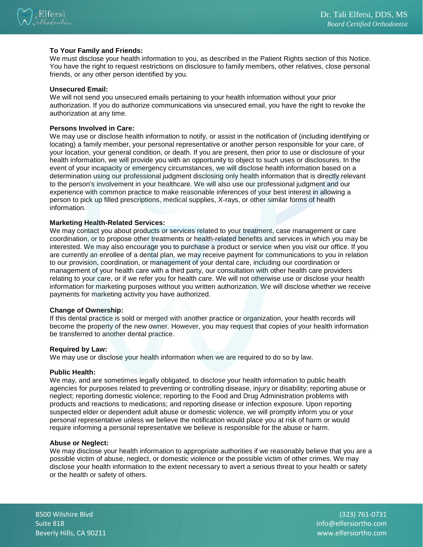

# **To Your Family and Friends:**

We must disclose your health information to you, as described in the Patient Rights section of this Notice. You have the right to request restrictions on disclosure to family members, other relatives, close personal friends, or any other person identified by you.

#### **Unsecured Email:**

We will not send you unsecured emails pertaining to your health information without your prior authorization. If you do authorize communications via unsecured email, you have the right to revoke the authorization at any time.

### **Persons Involved in Care:**

We may use or disclose health information to notify, or assist in the notification of (including identifying or locating) a family member, your personal representative or another person responsible for your care, of your location, your general condition, or death. If you are present, then prior to use or disclosure of your health information, we will provide you with an opportunity to object to such uses or disclosures. In the event of your incapacity or emergency circumstances, we will disclose health information based on a determination using our professional judgment disclosing only health information that is directly relevant to the person's involvement in your healthcare. We will also use our professional judgment and our experience with common practice to make reasonable inferences of your best interest in allowing a person to pick up filled prescriptions, medical supplies, X-rays, or other similar forms of health information.

#### **Marketing Health-Related Services:**

We may contact you about products or services related to your treatment, case management or care coordination, or to propose other treatments or health-related benefits and services in which you may be interested. We may also encourage you to purchase a product or service when you visit our office. If you are currently an enrollee of a dental plan, we may receive payment for communications to you in relation to our provision, coordination, or management of your dental care, including our coordination or management of your health care with a third party, our consultation with other health care providers relating to your care, or if we refer you for health care. We will not otherwise use or disclose your health information for marketing purposes without you written authorization. We will disclose whether we receive payments for marketing activity you have authorized.

#### **Change of Ownership:**

If this dental practice is sold or merged with another practice or organization, your health records will become the property of the new owner. However, you may request that copies of your health information be transferred to another dental practice.

#### **Required by Law:**

We may use or disclose your health information when we are required to do so by law.

#### **Public Health:**

We may, and are sometimes legally obligated, to disclose your health information to public health agencies for purposes related to preventing or controlling disease, injury or disability; reporting abuse or neglect; reporting domestic violence; reporting to the Food and Drug Administration problems with products and reactions to medications; and reporting disease or infection exposure. Upon reporting suspected elder or dependent adult abuse or domestic violence, we will promptly inform you or your personal representative unless we believe the notification would place you at risk of harm or would require informing a personal representative we believe is responsible for the abuse or harm.

#### **Abuse or Neglect:**

We may disclose your health information to appropriate authorities if we reasonably believe that you are a possible victim of abuse, neglect, or domestic violence or the possible victim of other crimes. We may disclose your health information to the extent necessary to avert a serious threat to your health or safety or the health or safety of others.

8500 Wilshire Blvd Suite 818 Beverly Hills, CA 90211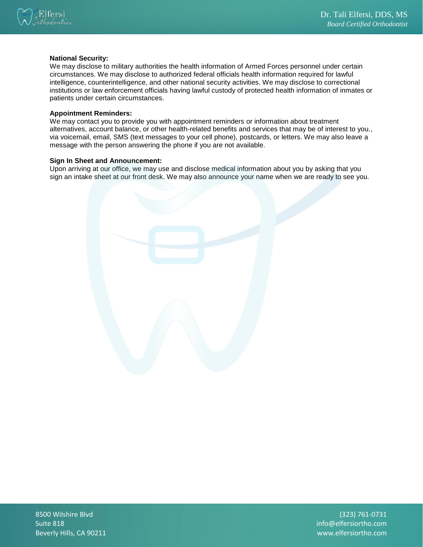

# **National Security:**

We may disclose to military authorities the health information of Armed Forces personnel under certain circumstances. We may disclose to authorized federal officials health information required for lawful intelligence, counterintelligence, and other national security activities. We may disclose to correctional institutions or law enforcement officials having lawful custody of protected health information of inmates or patients under certain circumstances.

### **Appointment Reminders:**

We may contact you to provide you with appointment reminders or information about treatment alternatives, account balance, or other health-related benefits and services that may be of interest to you., via voicemail, email, SMS (text messages to your cell phone), postcards, or letters. We may also leave a message with the person answering the phone if you are not available.

# **Sign In Sheet and Announcement:**

Upon arriving at our office, we may use and disclose medical information about you by asking that you sign an intake sheet at our front desk. We may also announce your name when we are ready to see you.

8500 Wilshire Blvd Suite 818 Beverly Hills, CA 90211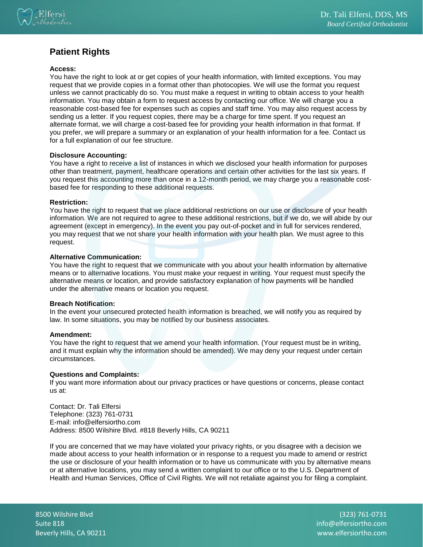

# **Patient Rights**

# **Access:**

You have the right to look at or get copies of your health information, with limited exceptions. You may request that we provide copies in a format other than photocopies. We will use the format you request unless we cannot practicably do so. You must make a request in writing to obtain access to your health information. You may obtain a form to request access by contacting our office. We will charge you a reasonable cost-based fee for expenses such as copies and staff time. You may also request access by sending us a letter. If you request copies, there may be a charge for time spent. If you request an alternate format, we will charge a cost-based fee for providing your health information in that format. If you prefer, we will prepare a summary or an explanation of your health information for a fee. Contact us for a full explanation of our fee structure.

# **Disclosure Accounting:**

You have a right to receive a list of instances in which we disclosed your health information for purposes other than treatment, payment, healthcare operations and certain other activities for the last six years. If you request this accounting more than once in a 12-month period, we may charge you a reasonable costbased fee for responding to these additional requests.

# **Restriction:**

You have the right to request that we place additional restrictions on our use or disclosure of your health information. We are not required to agree to these additional restrictions, but if we do, we will abide by our agreement (except in emergency). In the event you pay out-of-pocket and in full for services rendered, you may request that we not share your health information with your health plan. We must agree to this request.

# **Alternative Communication:**

You have the right to request that we communicate with you about your health information by alternative means or to alternative locations. You must make your request in writing. Your request must specify the alternative means or location, and provide satisfactory explanation of how payments will be handled under the alternative means or location you request.

# **Breach Notification:**

In the event your unsecured protected health information is breached, we will notify you as required by law. In some situations, you may be notified by our business associates.

#### **Amendment:**

You have the right to request that we amend your health information. (Your request must be in writing, and it must explain why the information should be amended). We may deny your request under certain circumstances.

# **Questions and Complaints:**

If you want more information about our privacy practices or have questions or concerns, please contact us at:

Contact: Dr. Tali Elfersi Telephone: (323) 761-0731 E-mail: info@elfersiortho.com Address: 8500 Wilshire Blvd. #818 Beverly Hills, CA 90211

If you are concerned that we may have violated your privacy rights, or you disagree with a decision we made about access to your health information or in response to a request you made to amend or restrict the use or disclosure of your health information or to have us communicate with you by alternative means or at alternative locations, you may send a written complaint to our office or to the U.S. Department of Health and Human Services, Office of Civil Rights. We will not retaliate against you for filing a complaint.

8500 Wilshire Blvd Suite 818 Beverly Hills, CA 90211